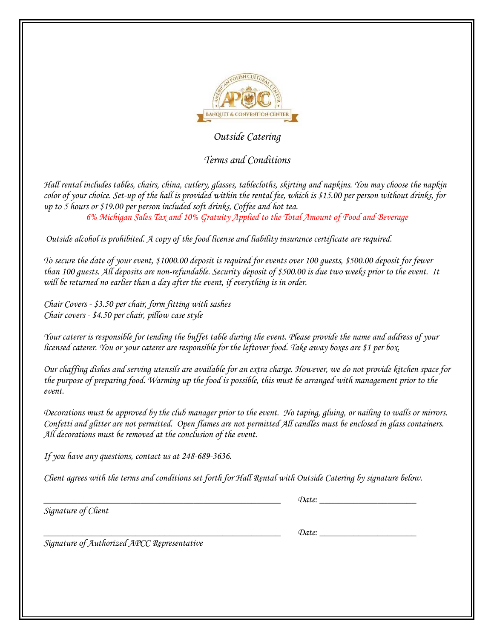

## *Outside Catering*

## *Terms and Conditions*

*Hall rental includes tables, chairs, china, cutlery, glasses, tablecloths, skirting and napkins. You may choose the napkin color of your choice. Set-up of the hall is provided within the rental fee, which is \$15.00 per person without drinks, for up to 5 hours or \$19.00 per person included soft drinks, Coffee and hot tea. 6% Michigan Sales Tax and 10% Gratuity Applied to the Total Amount of Food and Beverage*

*Outside alcohol is prohibited. A copy of the food license and liability insurance certificate are required.* 

*To secure the date of your event, \$1000.00 deposit is required for events over 100 guests, \$500.00 deposit for fewer than 100 guests. All deposits are non-refundable. Security deposit of \$500.00 is due two weeks prior to the event. It*  will be returned no earlier than a day after the event, if everything is in order.

*Chair Covers - \$3.50 per chair, form fitting with sashes Chair covers - \$4.50 per chair, pillow case style* 

*Your caterer is responsible for tending the buffet table during the event. Please provide the name and address of your licensed caterer. You or your caterer are responsible for the leftover food. Take away boxes are \$1 per box.* 

*Our chaffing dishes and serving utensils are available for an extra charge. However, we do not provide kitchen space for the purpose of preparing food. Warming up the food is possible, this must be arranged with management prior to the event.*

*Decorations must be approved by the club manager prior to the event. No taping, gluing, or nailing to walls or mirrors. Confetti and glitter are not permitted. Open flames are not permitted All candles must be enclosed in glass containers. All decorations must be removed at the conclusion of the event.* 

*If you have any questions, contact us at 248-689-3636.*

*Client agrees with the terms and conditions set forth for Hall Rental with Outside Catering by signature below.* 

*Signature of Client*

*\_\_\_\_\_\_\_\_\_\_\_\_\_\_\_\_\_\_\_\_\_\_\_\_\_\_\_\_\_\_\_\_\_\_\_\_\_\_\_\_\_\_\_\_\_\_\_\_\_ Date: \_\_\_\_\_\_\_\_\_\_\_\_\_\_\_\_\_\_\_\_* 

*Signature of Authorized APCC Representative*

*\_\_\_\_\_\_\_\_\_\_\_\_\_\_\_\_\_\_\_\_\_\_\_\_\_\_\_\_\_\_\_\_\_\_\_\_\_\_\_\_\_\_\_\_\_\_\_\_\_ Date: \_\_\_\_\_\_\_\_\_\_\_\_\_\_\_\_\_\_\_\_*